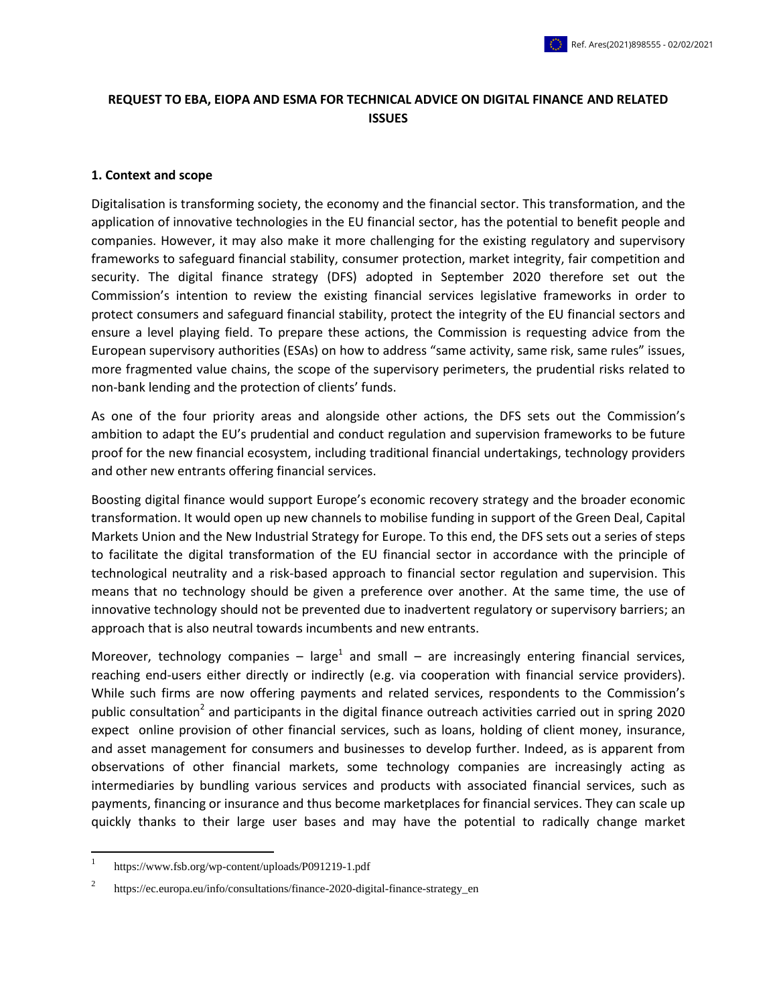# **REQUEST TO EBA, EIOPA AND ESMA FOR TECHNICAL ADVICE ON DIGITAL FINANCE AND RELATED ISSUES**

#### **1. Context and scope**

Digitalisation is transforming society, the economy and the financial sector. This transformation, and the application of innovative technologies in the EU financial sector, has the potential to benefit people and companies. However, it may also make it more challenging for the existing regulatory and supervisory frameworks to safeguard financial stability, consumer protection, market integrity, fair competition and security. The digital finance strategy (DFS) adopted in September 2020 therefore set out the Commission's intention to review the existing financial services legislative frameworks in order to protect consumers and safeguard financial stability, protect the integrity of the EU financial sectors and ensure a level playing field. To prepare these actions, the Commission is requesting advice from the European supervisory authorities (ESAs) on how to address "same activity, same risk, same rules" issues, more fragmented value chains, the scope of the supervisory perimeters, the prudential risks related to non-bank lending and the protection of clients' funds.

As one of the four priority areas and alongside other actions, the DFS sets out the Commission's ambition to adapt the EU's prudential and conduct regulation and supervision frameworks to be future proof for the new financial ecosystem, including traditional financial undertakings, technology providers and other new entrants offering financial services.

Boosting digital finance would support Europe's economic recovery strategy and the broader economic transformation. It would open up new channels to mobilise funding in support of the Green Deal, Capital Markets Union and the New Industrial Strategy for Europe. To this end, the DFS sets out a series of steps to facilitate the digital transformation of the EU financial sector in accordance with the principle of technological neutrality and a risk-based approach to financial sector regulation and supervision. This means that no technology should be given a preference over another. At the same time, the use of innovative technology should not be prevented due to inadvertent regulatory or supervisory barriers; an approach that is also neutral towards incumbents and new entrants.

Moreover, technology companies – large<sup>1</sup> and small – are increasingly entering financial services, reaching end-users either directly or indirectly (e.g. via cooperation with financial service providers). While such firms are now offering payments and related services, respondents to the Commission's public consultation<sup>2</sup> and participants in the digital finance outreach activities carried out in spring 2020 expect online provision of other financial services, such as loans, holding of client money, insurance, and asset management for consumers and businesses to develop further. Indeed, as is apparent from observations of other financial markets, some technology companies are increasingly acting as intermediaries by bundling various services and products with associated financial services, such as payments, financing or insurance and thus become marketplaces for financial services. They can scale up quickly thanks to their large user bases and may have the potential to radically change market

 $\frac{1}{1}$ https://www.fsb.org/wp-content/uploads/P091219-1.pdf

<sup>2</sup> https://ec.europa.eu/info/consultations/finance-2020-digital-finance-strategy\_en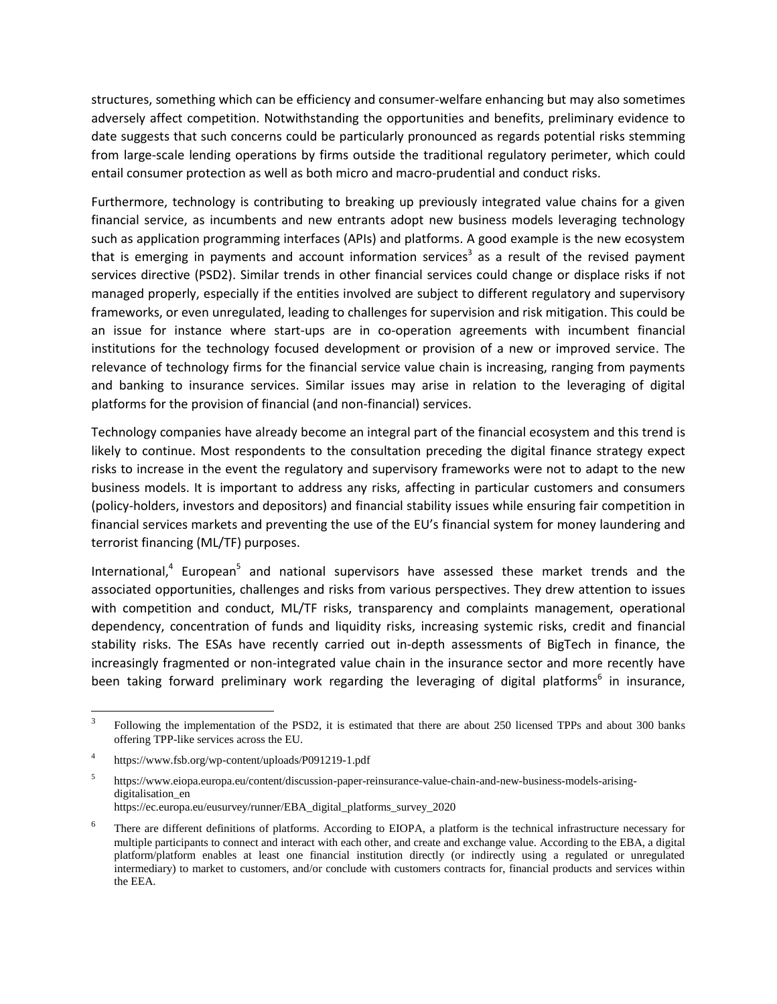structures, something which can be efficiency and consumer-welfare enhancing but may also sometimes adversely affect competition. Notwithstanding the opportunities and benefits, preliminary evidence to date suggests that such concerns could be particularly pronounced as regards potential risks stemming from large-scale lending operations by firms outside the traditional regulatory perimeter, which could entail consumer protection as well as both micro and macro-prudential and conduct risks.

Furthermore, technology is contributing to breaking up previously integrated value chains for a given financial service, as incumbents and new entrants adopt new business models leveraging technology such as application programming interfaces (APIs) and platforms. A good example is the new ecosystem that is emerging in payments and account information services<sup>3</sup> as a result of the revised payment services directive (PSD2). Similar trends in other financial services could change or displace risks if not managed properly, especially if the entities involved are subject to different regulatory and supervisory frameworks, or even unregulated, leading to challenges for supervision and risk mitigation. This could be an issue for instance where start-ups are in co-operation agreements with incumbent financial institutions for the technology focused development or provision of a new or improved service. The relevance of technology firms for the financial service value chain is increasing, ranging from payments and banking to insurance services. Similar issues may arise in relation to the leveraging of digital platforms for the provision of financial (and non-financial) services.

Technology companies have already become an integral part of the financial ecosystem and this trend is likely to continue. Most respondents to the consultation preceding the digital finance strategy expect risks to increase in the event the regulatory and supervisory frameworks were not to adapt to the new business models. It is important to address any risks, affecting in particular customers and consumers (policy-holders, investors and depositors) and financial stability issues while ensuring fair competition in financial services markets and preventing the use of the EU's financial system for money laundering and terrorist financing (ML/TF) purposes.

International,<sup>4</sup> European<sup>5</sup> and national supervisors have assessed these market trends and the associated opportunities, challenges and risks from various perspectives. They drew attention to issues with competition and conduct, ML/TF risks, transparency and complaints management, operational dependency, concentration of funds and liquidity risks, increasing systemic risks, credit and financial stability risks. The ESAs have recently carried out in-depth assessments of BigTech in finance, the increasingly fragmented or non-integrated value chain in the insurance sector and more recently have been taking forward preliminary work regarding the leveraging of digital platforms<sup>6</sup> in insurance,

 3 Following the implementation of the PSD2, it is estimated that there are about 250 licensed TPPs and about 300 banks offering TPP-like services across the EU.

<sup>4</sup> https://www.fsb.org/wp-content/uploads/P091219-1.pdf

<sup>5</sup> https://www.eiopa.europa.eu/content/discussion-paper-reinsurance-value-chain-and-new-business-models-arisingdigitalisation\_en https://ec.europa.eu/eusurvey/runner/EBA\_digital\_platforms\_survey\_2020

<sup>6</sup> There are different definitions of platforms. According to EIOPA, a platform is the technical infrastructure necessary for multiple participants to connect and interact with each other, and create and exchange value. According to the EBA, a digital platform/platform enables at least one financial institution directly (or indirectly using a regulated or unregulated intermediary) to market to customers, and/or conclude with customers contracts for, financial products and services within the EEA.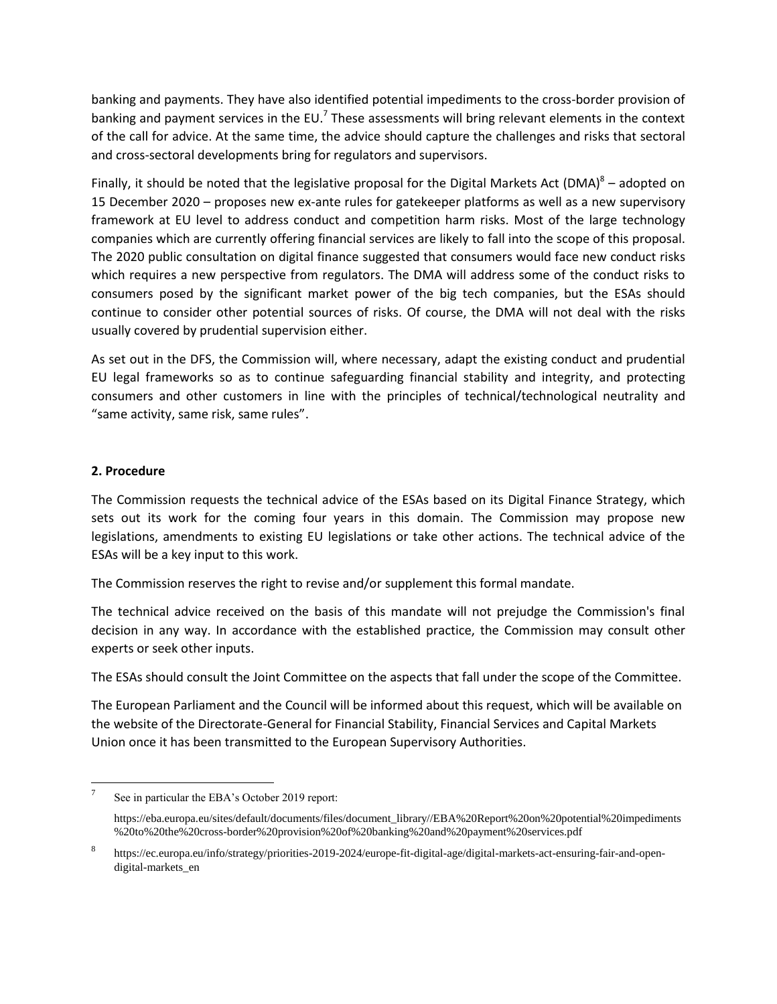banking and payments. They have also identified potential impediments to the cross-border provision of banking and payment services in the EU.<sup>7</sup> These assessments will bring relevant elements in the context of the call for advice. At the same time, the advice should capture the challenges and risks that sectoral and cross-sectoral developments bring for regulators and supervisors.

Finally, it should be noted that the legislative proposal for the Digital Markets Act (DMA)<sup>8</sup> – adopted on 15 December 2020 – proposes new ex-ante rules for gatekeeper platforms as well as a new supervisory framework at EU level to address conduct and competition harm risks. Most of the large technology companies which are currently offering financial services are likely to fall into the scope of this proposal. The 2020 public consultation on digital finance suggested that consumers would face new conduct risks which requires a new perspective from regulators. The DMA will address some of the conduct risks to consumers posed by the significant market power of the big tech companies, but the ESAs should continue to consider other potential sources of risks. Of course, the DMA will not deal with the risks usually covered by prudential supervision either.

As set out in the DFS, the Commission will, where necessary, adapt the existing conduct and prudential EU legal frameworks so as to continue safeguarding financial stability and integrity, and protecting consumers and other customers in line with the principles of technical/technological neutrality and "same activity, same risk, same rules".

# **2. Procedure**

The Commission requests the technical advice of the ESAs based on its Digital Finance Strategy, which sets out its work for the coming four years in this domain. The Commission may propose new legislations, amendments to existing EU legislations or take other actions. The technical advice of the ESAs will be a key input to this work.

The Commission reserves the right to revise and/or supplement this formal mandate.

The technical advice received on the basis of this mandate will not prejudge the Commission's final decision in any way. In accordance with the established practice, the Commission may consult other experts or seek other inputs.

The ESAs should consult the Joint Committee on the aspects that fall under the scope of the Committee.

The European Parliament and the Council will be informed about this request, which will be available on the website of the Directorate-General for Financial Stability, Financial Services and Capital Markets Union once it has been transmitted to the European Supervisory Authorities.

 $\overline{\phantom{a}}$ 7 See in particular the EBA's October 2019 report:

https://eba.europa.eu/sites/default/documents/files/document\_library//EBA%20Report%20on%20potential%20impediments %20to%20the%20cross-border%20provision%20of%20banking%20and%20payment%20services.pdf

<sup>8</sup> https://ec.europa.eu/info/strategy/priorities-2019-2024/europe-fit-digital-age/digital-markets-act-ensuring-fair-and-opendigital-markets\_en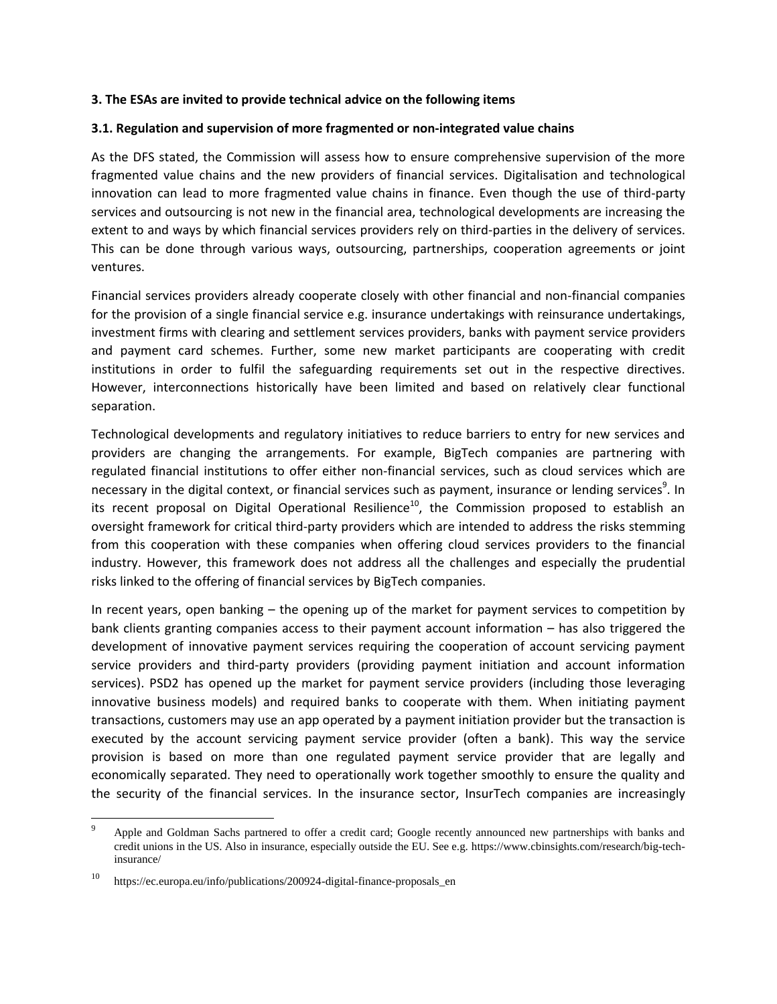### **3. The ESAs are invited to provide technical advice on the following items**

### **3.1. Regulation and supervision of more fragmented or non-integrated value chains**

As the DFS stated, the Commission will assess how to ensure comprehensive supervision of the more fragmented value chains and the new providers of financial services. Digitalisation and technological innovation can lead to more fragmented value chains in finance. Even though the use of third-party services and outsourcing is not new in the financial area, technological developments are increasing the extent to and ways by which financial services providers rely on third-parties in the delivery of services. This can be done through various ways, outsourcing, partnerships, cooperation agreements or joint ventures.

Financial services providers already cooperate closely with other financial and non-financial companies for the provision of a single financial service e.g. insurance undertakings with reinsurance undertakings, investment firms with clearing and settlement services providers, banks with payment service providers and payment card schemes. Further, some new market participants are cooperating with credit institutions in order to fulfil the safeguarding requirements set out in the respective directives. However, interconnections historically have been limited and based on relatively clear functional separation.

Technological developments and regulatory initiatives to reduce barriers to entry for new services and providers are changing the arrangements. For example, BigTech companies are partnering with regulated financial institutions to offer either non-financial services, such as cloud services which are necessary in the digital context, or financial services such as payment, insurance or lending services<sup>9</sup>. In its recent proposal on Digital Operational Resilience<sup>10</sup>, the Commission proposed to establish an oversight framework for critical third-party providers which are intended to address the risks stemming from this cooperation with these companies when offering cloud services providers to the financial industry. However, this framework does not address all the challenges and especially the prudential risks linked to the offering of financial services by BigTech companies.

In recent years, open banking – the opening up of the market for payment services to competition by bank clients granting companies access to their payment account information – has also triggered the development of innovative payment services requiring the cooperation of account servicing payment service providers and third-party providers (providing payment initiation and account information services). PSD2 has opened up the market for payment service providers (including those leveraging innovative business models) and required banks to cooperate with them. When initiating payment transactions, customers may use an app operated by a payment initiation provider but the transaction is executed by the account servicing payment service provider (often a bank). This way the service provision is based on more than one regulated payment service provider that are legally and economically separated. They need to operationally work together smoothly to ensure the quality and the security of the financial services. In the insurance sector, InsurTech companies are increasingly

 $\overline{\phantom{a}}$ 

Apple and Goldman Sachs partnered to offer a credit card; Google recently announced new partnerships with banks and credit unions in the US. Also in insurance, especially outside the EU. See e.g[. https://www.cbinsights.com/research/big-tech](https://www.cbinsights.com/research/big-tech-insurance/)[insurance/](https://www.cbinsights.com/research/big-tech-insurance/)

https://ec.europa.eu/info/publications/200924-digital-finance-proposals\_en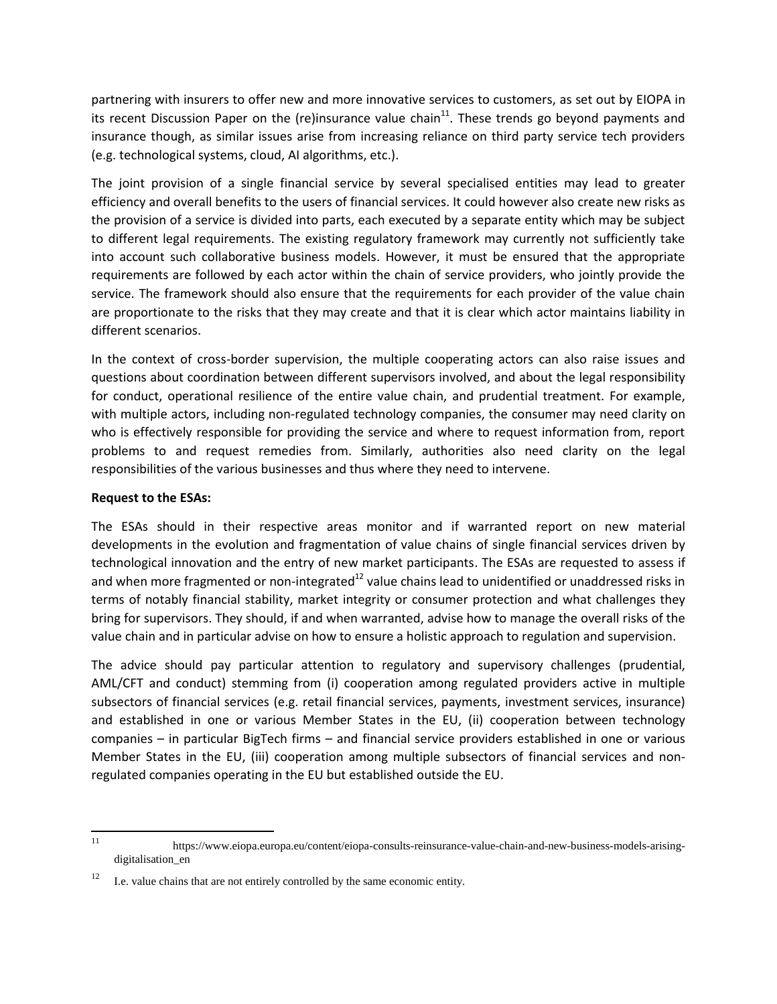partnering with insurers to offer new and more innovative services to customers, as set out by EIOPA in its recent Discussion Paper on the (re)insurance value chain<sup>11</sup>. These trends go beyond payments and insurance though, as similar issues arise from increasing reliance on third party service tech providers (e.g. technological systems, cloud, AI algorithms, etc.).

The joint provision of a single financial service by several specialised entities may lead to greater efficiency and overall benefits to the users of financial services. It could however also create new risks as the provision of a service is divided into parts, each executed by a separate entity which may be subject to different legal requirements. The existing regulatory framework may currently not sufficiently take into account such collaborative business models. However, it must be ensured that the appropriate requirements are followed by each actor within the chain of service providers, who jointly provide the service. The framework should also ensure that the requirements for each provider of the value chain are proportionate to the risks that they may create and that it is clear which actor maintains liability in different scenarios.

In the context of cross-border supervision, the multiple cooperating actors can also raise issues and questions about coordination between different supervisors involved, and about the legal responsibility for conduct, operational resilience of the entire value chain, and prudential treatment. For example, with multiple actors, including non-regulated technology companies, the consumer may need clarity on who is effectively responsible for providing the service and where to request information from, report problems to and request remedies from. Similarly, authorities also need clarity on the legal responsibilities of the various businesses and thus where they need to intervene.

## **Request to the ESAs:**

The ESAs should in their respective areas monitor and if warranted report on new material developments in the evolution and fragmentation of value chains of single financial services driven by technological innovation and the entry of new market participants. The ESAs are requested to assess if and when more fragmented or non-integrated $^{12}$  value chains lead to unidentified or unaddressed risks in terms of notably financial stability, market integrity or consumer protection and what challenges they bring for supervisors. They should, if and when warranted, advise how to manage the overall risks of the value chain and in particular advise on how to ensure a holistic approach to regulation and supervision.

The advice should pay particular attention to regulatory and supervisory challenges (prudential, AML/CFT and conduct) stemming from (i) cooperation among regulated providers active in multiple subsectors of financial services (e.g. retail financial services, payments, investment services, insurance) and established in one or various Member States in the EU, (ii) cooperation between technology companies – in particular BigTech firms – and financial service providers established in one or various Member States in the EU, (iii) cooperation among multiple subsectors of financial services and nonregulated companies operating in the EU but established outside the EU.

 $11 -$ <sup>11</sup> https://www.eiopa.europa.eu/content/eiopa-consults-reinsurance-value-chain-and-new-business-models-arisingdigitalisation\_en

<sup>&</sup>lt;sup>12</sup> I.e. value chains that are not entirely controlled by the same economic entity.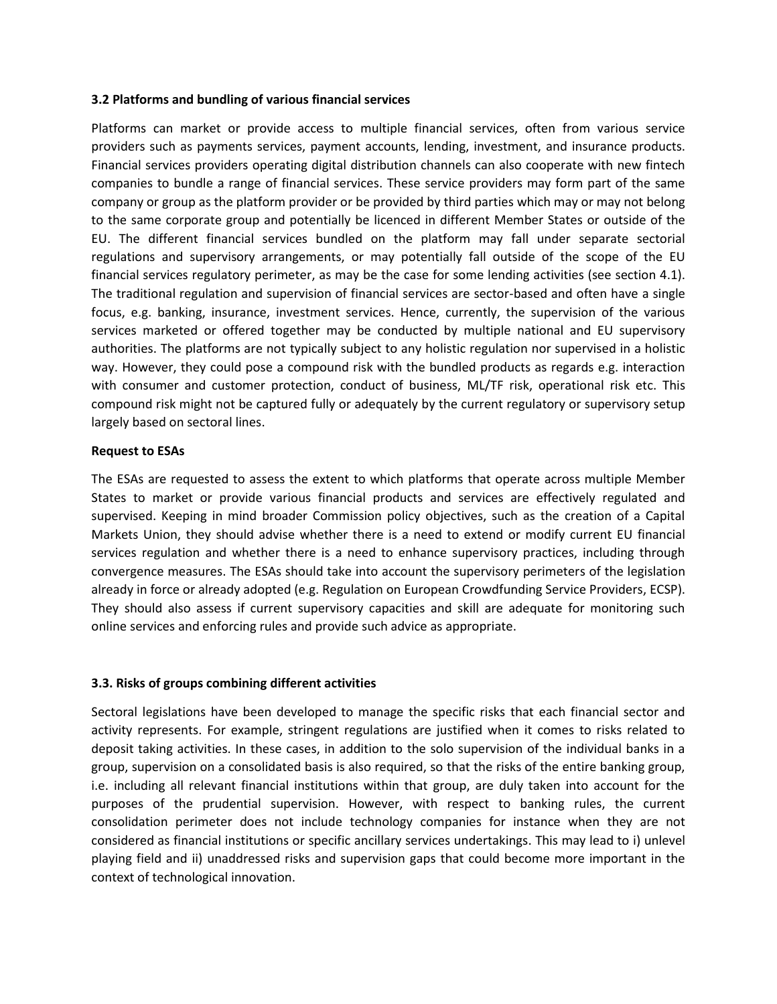### **3.2 Platforms and bundling of various financial services**

Platforms can market or provide access to multiple financial services, often from various service providers such as payments services, payment accounts, lending, investment, and insurance products. Financial services providers operating digital distribution channels can also cooperate with new fintech companies to bundle a range of financial services. These service providers may form part of the same company or group as the platform provider or be provided by third parties which may or may not belong to the same corporate group and potentially be licenced in different Member States or outside of the EU. The different financial services bundled on the platform may fall under separate sectorial regulations and supervisory arrangements, or may potentially fall outside of the scope of the EU financial services regulatory perimeter, as may be the case for some lending activities (see section 4.1). The traditional regulation and supervision of financial services are sector-based and often have a single focus, e.g. banking, insurance, investment services. Hence, currently, the supervision of the various services marketed or offered together may be conducted by multiple national and EU supervisory authorities. The platforms are not typically subject to any holistic regulation nor supervised in a holistic way. However, they could pose a compound risk with the bundled products as regards e.g. interaction with consumer and customer protection, conduct of business, ML/TF risk, operational risk etc. This compound risk might not be captured fully or adequately by the current regulatory or supervisory setup largely based on sectoral lines.

### **Request to ESAs**

The ESAs are requested to assess the extent to which platforms that operate across multiple Member States to market or provide various financial products and services are effectively regulated and supervised. Keeping in mind broader Commission policy objectives, such as the creation of a Capital Markets Union, they should advise whether there is a need to extend or modify current EU financial services regulation and whether there is a need to enhance supervisory practices, including through convergence measures. The ESAs should take into account the supervisory perimeters of the legislation already in force or already adopted (e.g. Regulation on European Crowdfunding Service Providers, ECSP). They should also assess if current supervisory capacities and skill are adequate for monitoring such online services and enforcing rules and provide such advice as appropriate.

## **3.3. Risks of groups combining different activities**

Sectoral legislations have been developed to manage the specific risks that each financial sector and activity represents. For example, stringent regulations are justified when it comes to risks related to deposit taking activities. In these cases, in addition to the solo supervision of the individual banks in a group, supervision on a consolidated basis is also required, so that the risks of the entire banking group, i.e. including all relevant financial institutions within that group, are duly taken into account for the purposes of the prudential supervision. However, with respect to banking rules, the current consolidation perimeter does not include technology companies for instance when they are not considered as financial institutions or specific ancillary services undertakings. This may lead to i) unlevel playing field and ii) unaddressed risks and supervision gaps that could become more important in the context of technological innovation.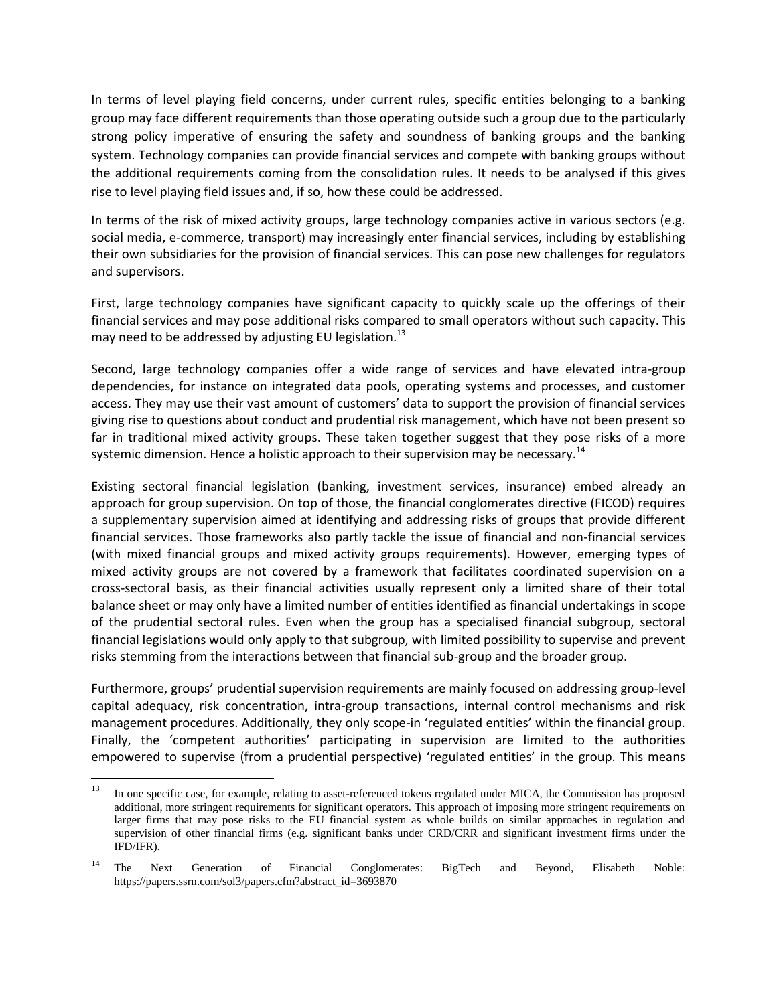In terms of level playing field concerns, under current rules, specific entities belonging to a banking group may face different requirements than those operating outside such a group due to the particularly strong policy imperative of ensuring the safety and soundness of banking groups and the banking system. Technology companies can provide financial services and compete with banking groups without the additional requirements coming from the consolidation rules. It needs to be analysed if this gives rise to level playing field issues and, if so, how these could be addressed.

In terms of the risk of mixed activity groups, large technology companies active in various sectors (e.g. social media, e-commerce, transport) may increasingly enter financial services, including by establishing their own subsidiaries for the provision of financial services. This can pose new challenges for regulators and supervisors.

First, large technology companies have significant capacity to quickly scale up the offerings of their financial services and may pose additional risks compared to small operators without such capacity. This may need to be addressed by adjusting EU legislation.<sup>13</sup>

Second, large technology companies offer a wide range of services and have elevated intra-group dependencies, for instance on integrated data pools, operating systems and processes, and customer access. They may use their vast amount of customers' data to support the provision of financial services giving rise to questions about conduct and prudential risk management, which have not been present so far in traditional mixed activity groups. These taken together suggest that they pose risks of a more systemic dimension. Hence a holistic approach to their supervision may be necessary.<sup>14</sup>

Existing sectoral financial legislation (banking, investment services, insurance) embed already an approach for group supervision. On top of those, the financial conglomerates directive (FICOD) requires a supplementary supervision aimed at identifying and addressing risks of groups that provide different financial services. Those frameworks also partly tackle the issue of financial and non-financial services (with mixed financial groups and mixed activity groups requirements). However, emerging types of mixed activity groups are not covered by a framework that facilitates coordinated supervision on a cross-sectoral basis, as their financial activities usually represent only a limited share of their total balance sheet or may only have a limited number of entities identified as financial undertakings in scope of the prudential sectoral rules. Even when the group has a specialised financial subgroup, sectoral financial legislations would only apply to that subgroup, with limited possibility to supervise and prevent risks stemming from the interactions between that financial sub-group and the broader group.

Furthermore, groups' prudential supervision requirements are mainly focused on addressing group-level capital adequacy, risk concentration, intra-group transactions, internal control mechanisms and risk management procedures. Additionally, they only scope-in 'regulated entities' within the financial group. Finally, the 'competent authorities' participating in supervision are limited to the authorities empowered to supervise (from a prudential perspective) 'regulated entities' in the group. This means

 $13$ In one specific case, for example, relating to asset-referenced tokens regulated under MICA, the Commission has proposed additional, more stringent requirements for significant operators. This approach of imposing more stringent requirements on larger firms that may pose risks to the EU financial system as whole builds on similar approaches in regulation and supervision of other financial firms (e.g. significant banks under CRD/CRR and significant investment firms under the IFD/IFR).

<sup>&</sup>lt;sup>14</sup> The Next Generation of Financial Conglomerates: BigTech and Beyond, Elisabeth Noble: [https://papers.ssrn.com/sol3/papers.cfm?abstract\\_id=3693870](https://papers.ssrn.com/sol3/papers.cfm?abstract_id=3693870)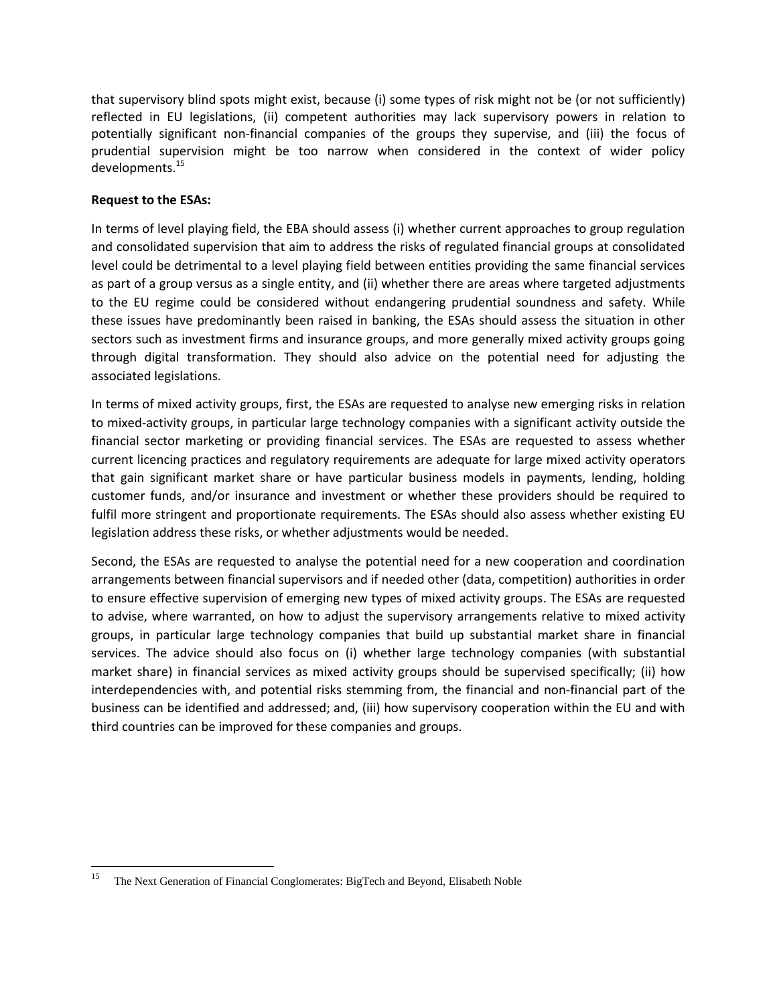that supervisory blind spots might exist, because (i) some types of risk might not be (or not sufficiently) reflected in EU legislations, (ii) competent authorities may lack supervisory powers in relation to potentially significant non-financial companies of the groups they supervise, and (iii) the focus of prudential supervision might be too narrow when considered in the context of wider policy developments.<sup>15</sup>

# **Request to the ESAs:**

In terms of level playing field, the EBA should assess (i) whether current approaches to group regulation and consolidated supervision that aim to address the risks of regulated financial groups at consolidated level could be detrimental to a level playing field between entities providing the same financial services as part of a group versus as a single entity, and (ii) whether there are areas where targeted adjustments to the EU regime could be considered without endangering prudential soundness and safety. While these issues have predominantly been raised in banking, the ESAs should assess the situation in other sectors such as investment firms and insurance groups, and more generally mixed activity groups going through digital transformation. They should also advice on the potential need for adjusting the associated legislations.

In terms of mixed activity groups, first, the ESAs are requested to analyse new emerging risks in relation to mixed-activity groups, in particular large technology companies with a significant activity outside the financial sector marketing or providing financial services. The ESAs are requested to assess whether current licencing practices and regulatory requirements are adequate for large mixed activity operators that gain significant market share or have particular business models in payments, lending, holding customer funds, and/or insurance and investment or whether these providers should be required to fulfil more stringent and proportionate requirements. The ESAs should also assess whether existing EU legislation address these risks, or whether adjustments would be needed.

Second, the ESAs are requested to analyse the potential need for a new cooperation and coordination arrangements between financial supervisors and if needed other (data, competition) authorities in order to ensure effective supervision of emerging new types of mixed activity groups. The ESAs are requested to advise, where warranted, on how to adjust the supervisory arrangements relative to mixed activity groups, in particular large technology companies that build up substantial market share in financial services. The advice should also focus on (i) whether large technology companies (with substantial market share) in financial services as mixed activity groups should be supervised specifically; (ii) how interdependencies with, and potential risks stemming from, the financial and non-financial part of the business can be identified and addressed; and, (iii) how supervisory cooperation within the EU and with third countries can be improved for these companies and groups.

 $\overline{\phantom{a}}$ <sup>15</sup> The Next Generation of Financial Conglomerates: BigTech and Beyond, Elisabeth Noble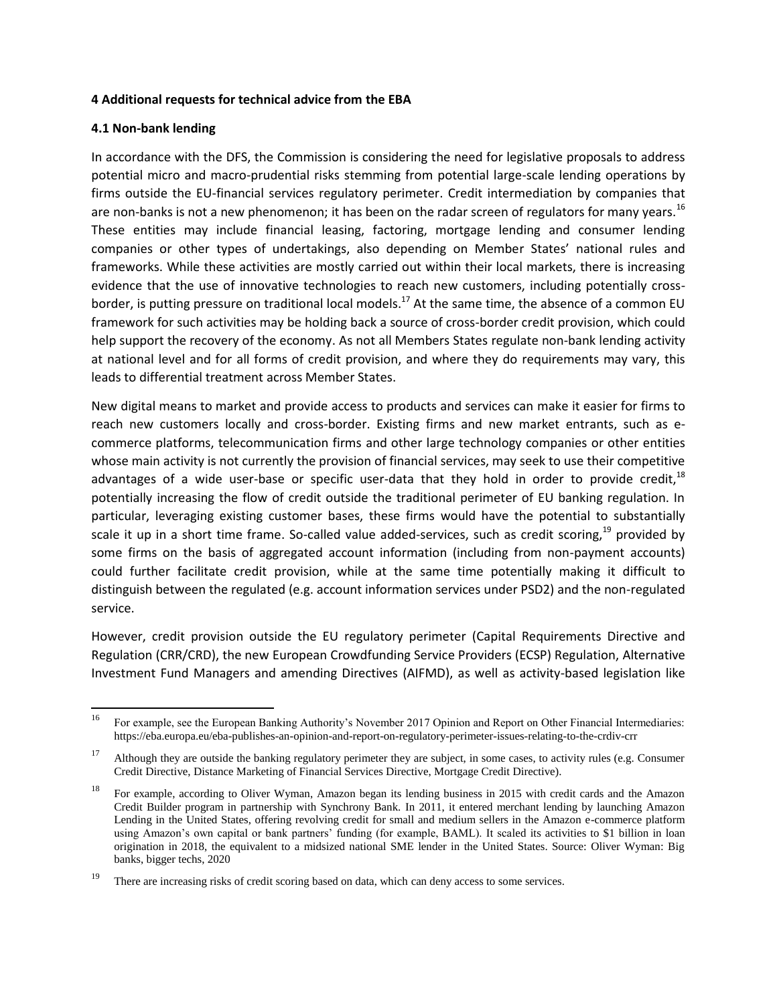### **4 Additional requests for technical advice from the EBA**

## **4.1 Non-bank lending**

In accordance with the DFS, the Commission is considering the need for legislative proposals to address potential micro and macro-prudential risks stemming from potential large-scale lending operations by firms outside the EU-financial services regulatory perimeter. Credit intermediation by companies that are non-banks is not a new phenomenon; it has been on the radar screen of regulators for many years.<sup>16</sup> These entities may include financial leasing, factoring, mortgage lending and consumer lending companies or other types of undertakings, also depending on Member States' national rules and frameworks. While these activities are mostly carried out within their local markets, there is increasing evidence that the use of innovative technologies to reach new customers, including potentially crossborder, is putting pressure on traditional local models.<sup>17</sup> At the same time, the absence of a common EU framework for such activities may be holding back a source of cross-border credit provision, which could help support the recovery of the economy. As not all Members States regulate non-bank lending activity at national level and for all forms of credit provision, and where they do requirements may vary, this leads to differential treatment across Member States.

New digital means to market and provide access to products and services can make it easier for firms to reach new customers locally and cross-border. Existing firms and new market entrants, such as ecommerce platforms, telecommunication firms and other large technology companies or other entities whose main activity is not currently the provision of financial services, may seek to use their competitive advantages of a wide user-base or specific user-data that they hold in order to provide credit, $^{18}$ potentially increasing the flow of credit outside the traditional perimeter of EU banking regulation. In particular, leveraging existing customer bases, these firms would have the potential to substantially scale it up in a short time frame. So-called value added-services, such as credit scoring,<sup>19</sup> provided by some firms on the basis of aggregated account information (including from non-payment accounts) could further facilitate credit provision, while at the same time potentially making it difficult to distinguish between the regulated (e.g. account information services under PSD2) and the non-regulated service.

However, credit provision outside the EU regulatory perimeter (Capital Requirements Directive and Regulation (CRR/CRD), the new European Crowdfunding Service Providers (ECSP) Regulation, Alternative Investment Fund Managers and amending Directives (AIFMD), as well as activity-based legislation like

<sup>16</sup> <sup>16</sup> For example, see the European Banking Authority's November 2017 Opinion and Report on Other Financial Intermediaries: <https://eba.europa.eu/eba-publishes-an-opinion-and-report-on-regulatory-perimeter-issues-relating-to-the-crdiv-crr>

<sup>&</sup>lt;sup>17</sup> Although they are outside the banking regulatory perimeter they are subject, in some cases, to activity rules (e.g. Consumer Credit Directive, Distance Marketing of Financial Services Directive, Mortgage Credit Directive).

<sup>&</sup>lt;sup>18</sup> For example, according to Oliver Wyman, Amazon began its lending business in 2015 with credit cards and the Amazon Credit Builder program in partnership with Synchrony Bank. In 2011, it entered merchant lending by launching Amazon Lending in the United States, offering revolving credit for small and medium sellers in the Amazon e-commerce platform using Amazon's own capital or bank partners' funding (for example, BAML). It scaled its activities to \$1 billion in loan origination in 2018, the equivalent to a midsized national SME lender in the United States. Source: Oliver Wyman: Big banks, bigger techs, 2020

There are increasing risks of credit scoring based on data, which can deny access to some services.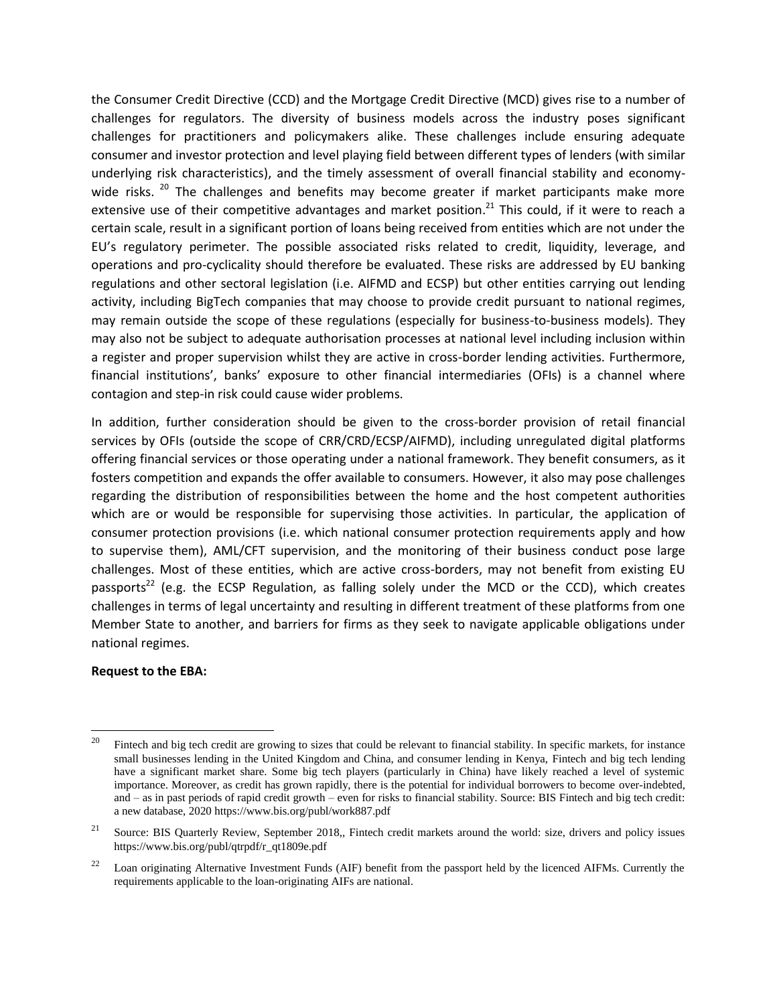the Consumer Credit Directive (CCD) and the Mortgage Credit Directive (MCD) gives rise to a number of challenges for regulators. The diversity of business models across the industry poses significant challenges for practitioners and policymakers alike. These challenges include ensuring adequate consumer and investor protection and level playing field between different types of lenders (with similar underlying risk characteristics), and the timely assessment of overall financial stability and economywide risks.  $20$  The challenges and benefits may become greater if market participants make more extensive use of their competitive advantages and market position.<sup>21</sup> This could, if it were to reach a certain scale, result in a significant portion of loans being received from entities which are not under the EU's regulatory perimeter. The possible associated risks related to credit, liquidity, leverage, and operations and pro-cyclicality should therefore be evaluated. These risks are addressed by EU banking regulations and other sectoral legislation (i.e. AIFMD and ECSP) but other entities carrying out lending activity, including BigTech companies that may choose to provide credit pursuant to national regimes, may remain outside the scope of these regulations (especially for business-to-business models). They may also not be subject to adequate authorisation processes at national level including inclusion within a register and proper supervision whilst they are active in cross-border lending activities. Furthermore, financial institutions', banks' exposure to other financial intermediaries (OFIs) is a channel where contagion and step-in risk could cause wider problems.

In addition, further consideration should be given to the cross-border provision of retail financial services by OFIs (outside the scope of CRR/CRD/ECSP/AIFMD), including unregulated digital platforms offering financial services or those operating under a national framework. They benefit consumers, as it fosters competition and expands the offer available to consumers. However, it also may pose challenges regarding the distribution of responsibilities between the home and the host competent authorities which are or would be responsible for supervising those activities. In particular, the application of consumer protection provisions (i.e. which national consumer protection requirements apply and how to supervise them), AML/CFT supervision, and the monitoring of their business conduct pose large challenges. Most of these entities, which are active cross-borders, may not benefit from existing EU passports<sup>22</sup> (e.g. the ECSP Regulation, as falling solely under the MCD or the CCD), which creates challenges in terms of legal uncertainty and resulting in different treatment of these platforms from one Member State to another, and barriers for firms as they seek to navigate applicable obligations under national regimes.

#### **Request to the EBA:**

<sup>20</sup> <sup>20</sup> Fintech and big tech credit are growing to sizes that could be relevant to financial stability. In specific markets, for instance small businesses lending in the United Kingdom and China, and consumer lending in Kenya, Fintech and big tech lending have a significant market share. Some big tech players (particularly in China) have likely reached a level of systemic importance. Moreover, as credit has grown rapidly, there is the potential for individual borrowers to become over-indebted, and – as in past periods of rapid credit growth – even for risks to financial stability. Source: BIS Fintech and big tech credit: a new database, 2020 https://www.bis.org/publ/work887.pdf

<sup>&</sup>lt;sup>21</sup> Source: BIS Quarterly Review, September 2018, Fintech credit markets around the world: size, drivers and policy issues https://www.bis.org/publ/qtrpdf/r\_qt1809e.pdf

<sup>&</sup>lt;sup>22</sup> Loan originating Alternative Investment Funds (AIF) benefit from the passport held by the licenced AIFMs. Currently the requirements applicable to the loan-originating AIFs are national.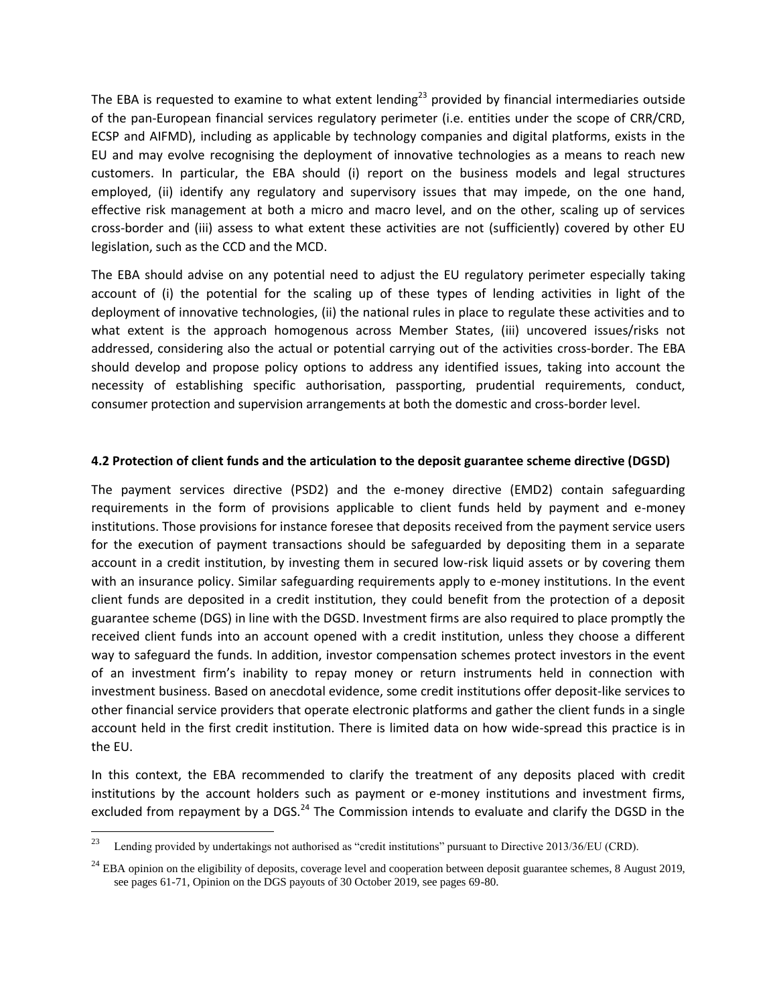The EBA is requested to examine to what extent lending<sup>23</sup> provided by financial intermediaries outside of the pan-European financial services regulatory perimeter (i.e. entities under the scope of CRR/CRD, ECSP and AIFMD), including as applicable by technology companies and digital platforms, exists in the EU and may evolve recognising the deployment of innovative technologies as a means to reach new customers. In particular, the EBA should (i) report on the business models and legal structures employed, (ii) identify any regulatory and supervisory issues that may impede, on the one hand, effective risk management at both a micro and macro level, and on the other, scaling up of services cross-border and (iii) assess to what extent these activities are not (sufficiently) covered by other EU legislation, such as the CCD and the MCD.

The EBA should advise on any potential need to adjust the EU regulatory perimeter especially taking account of (i) the potential for the scaling up of these types of lending activities in light of the deployment of innovative technologies, (ii) the national rules in place to regulate these activities and to what extent is the approach homogenous across Member States, (iii) uncovered issues/risks not addressed, considering also the actual or potential carrying out of the activities cross-border. The EBA should develop and propose policy options to address any identified issues, taking into account the necessity of establishing specific authorisation, passporting, prudential requirements, conduct, consumer protection and supervision arrangements at both the domestic and cross-border level.

## **4.2 Protection of client funds and the articulation to the deposit guarantee scheme directive (DGSD)**

The payment services directive (PSD2) and the e-money directive (EMD2) contain safeguarding requirements in the form of provisions applicable to client funds held by payment and e-money institutions. Those provisions for instance foresee that deposits received from the payment service users for the execution of payment transactions should be safeguarded by depositing them in a separate account in a credit institution, by investing them in secured low-risk liquid assets or by covering them with an insurance policy. Similar safeguarding requirements apply to e-money institutions. In the event client funds are deposited in a credit institution, they could benefit from the protection of a deposit guarantee scheme (DGS) in line with the DGSD. Investment firms are also required to place promptly the received client funds into an account opened with a credit institution, unless they choose a different way to safeguard the funds. In addition, investor compensation schemes protect investors in the event of an investment firm's inability to repay money or return instruments held in connection with investment business. Based on anecdotal evidence, some credit institutions offer deposit-like services to other financial service providers that operate electronic platforms and gather the client funds in a single account held in the first credit institution. There is limited data on how wide-spread this practice is in the EU.

In this context, the EBA recommended to clarify the treatment of any deposits placed with credit institutions by the account holders such as payment or e-money institutions and investment firms, excluded from repayment by a DGS. $^{24}$  The Commission intends to evaluate and clarify the DGSD in the

 $23\,$ <sup>23</sup> Lending provided by undertakings not authorised as "credit institutions" pursuant to Directive 2013/36/EU (CRD).

 $24$  [EBA opinion](https://www.eba.europa.eu/sites/default/files/documents/10180/2622242/324e89ec-3523-4c5b-bd4f-e415367212bb/EBA%20Opinion%20on%20the%20eligibility%20of%20deposits%20coverage%20level%20and%20cooperation%20between%20DGSs.pdf?retry=1) on the eligibility of deposits, coverage level and cooperation between deposit guarantee schemes, 8 August 2019, see pages 61-71, Opinion on the DGS payouts of 30 October 2019, see pages 69-80.